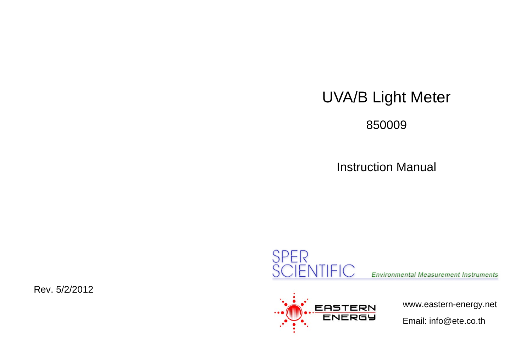# UVA/B Light Meter

850009

Instruction Manual





www.eastern-energy.net

Email: info@ete.co.th

Rev. 5/2/2012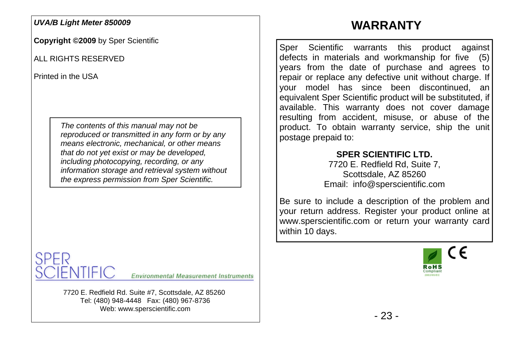#### *UVA/B Light Meter 850009*

**Copyright ©2009** by Sper Scientific

ALL RIGHTS RESERVED

Printed in the USA

*The contents of this manual may not be reproduced or transmitted in any form or by any means electronic, mechanical, or other means that do not yet exist or may be developed, including photocopying, recording, or any information storage and retrieval system without the express permission from Sper Scientific.* 



7720 E. Redfield Rd. Suite #7, Scottsdale, AZ 85260 Tel: (480) 948-4448 Fax: (480) 967-8736 Web: www.sperscientific.com

## **WARRANTY**

Sper Scientific warrants this product against defects in materials and workmanship for five (5) years from the date of purchase and agrees to repair or replace any defective unit without charge. If your model has since been discontinued, an equivalent Sper Scientific product will be substituted, if available. This warranty does not cover damage resulting from accident, misuse, or abuse of the product. To obtain warranty service, ship the unit postage prepaid to:

#### **SPER SCIENTIFIC LTD.**

7720 E. Redfield Rd, Suite 7, Scottsdale, AZ 85260 Email: info@sperscientific.com

Be sure to include a description of the problem and your return address. Register your product online at www.sperscientific.com or return your warranty card within 10 days.

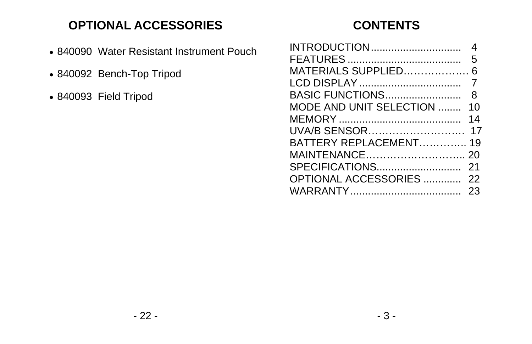## **OPTIONAL ACCESSORIES**

- 840090 Water Resistant Instrument Pouch
- 840092 Bench-Top Tripod
- 840093 Field Tripod

## **CONTENTS**

| INTRODUCTION             |    |
|--------------------------|----|
|                          |    |
| MATERIALS SUPPLIED       |    |
|                          |    |
| BASIC FUNCTIONS          | 8  |
| MODE AND UNIT SELECTION  | 10 |
|                          | 14 |
| UVA/B SENSOR             | 17 |
| BATTERY REPLACEMENT 19   |    |
| MAINTENANCE              | 20 |
| SPECIFICATIONS           | 21 |
| OPTIONAL ACCESSORIES  22 |    |
|                          | 23 |
|                          |    |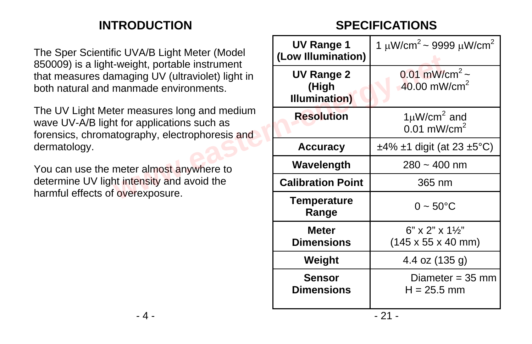## **INTRODUCTION**

**SPECIFICATIONS** 

The Sper Scientific UVA/B Light Meter (Model 850009) is a light-weight, portable instrument that measures damaging UV (ultraviolet) light in both natural and manmade environments.

The UV Light Meter measures long and medium wave UV-A/B light for applications such as forensics, chromatography, electrophoresis and dermatology.

You can use the meter almost anywhere to determine UV light intensity and avoid the harmful effects of overexposure.

| ic UVA/B Light Meter (Model<br>-weight, portable instrument                                  | <b>UV Range 1</b><br>(Low Illumination)     | 1 $\mu$ W/cm <sup>2</sup> ~ 9999 $\mu$ W/cm <sup>2</sup>                      |  |
|----------------------------------------------------------------------------------------------|---------------------------------------------|-------------------------------------------------------------------------------|--|
| maging UV (ultraviolet) light in<br>manmade environments.                                    | <b>UV Range 2</b><br>(High<br>Illumination) | 0.01 mW/cm <sup>2</sup> ~<br>$40.00$ mW/cm <sup>2</sup>                       |  |
| ter measures long and medium<br>t for applications such as<br>atography, electrophoresis and | <b>Resolution</b>                           | $1 \mu W/cm^2$ and<br>$0.01$ mW/cm <sup>2</sup>                               |  |
|                                                                                              | <b>Accuracy</b>                             | $\pm$ 4% $\pm$ 1 digit (at 23 $\pm$ 5°C)                                      |  |
| meter almost anywhere to                                                                     | Wavelength                                  | $280 - 400$ nm                                                                |  |
| nt intensity and avoid the                                                                   | <b>Calibration Point</b>                    | 365 nm                                                                        |  |
| overexposure.                                                                                | <b>Temperature</b><br>Range                 | $0 - 50^{\circ}C$                                                             |  |
|                                                                                              | <b>Meter</b><br><b>Dimensions</b>           | $6" \times 2" \times 1\frac{1}{2}"$<br>$(145 \times 55 \times 40 \text{ mm})$ |  |
|                                                                                              | Weight                                      | 4.4 oz (135 g)                                                                |  |
|                                                                                              | <b>Sensor</b><br><b>Dimensions</b>          | Diameter = $35 \text{ mm}$<br>$H = 25.5$ mm                                   |  |
| ົາ 1<br>$\boldsymbol{\Lambda}$                                                               |                                             |                                                                               |  |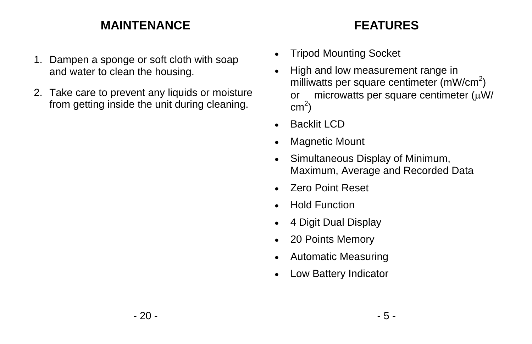## **MAINTENANCE**

- 1. Dampen a sponge or soft cloth with soap and water to clean the housing.
- 2. Take care to prevent any liquids or moisture from getting inside the unit during cleaning.

## **FEATURES**

- Tripod Mounting Socket
- High and low measurement range in milliwatts per square centimeter  $(mW/cm<sup>2</sup>)$ or microwatts per square centimeter  $(\mu W)$  $cm<sup>2</sup>$ )
- Backlit I CD
- Magnetic Mount
- Simultaneous Display of Minimum, Maximum, Average and Recorded Data
- Zero Point Reset
- Hold Function
- 4 Digit Dual Display
- 20 Points Memory
- Automatic Measuring
- Low Battery Indicator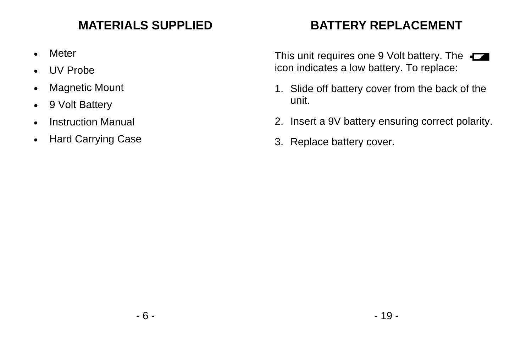## **MATERIALS SUPPLIED**

- Meter
- UV Probe
- Magnetic Mount
- 9 Volt Battery
- Instruction Manual
- Hard Carrying Case

## **BATTERY REPLACEMENT**

This unit requires one 9 Volt battery. The icon indicates a low battery. To replace:

- 1. Slide off battery cover from the back of the unit.
- 2. Insert a 9V battery ensuring correct polarity.
- 3. Replace battery cover.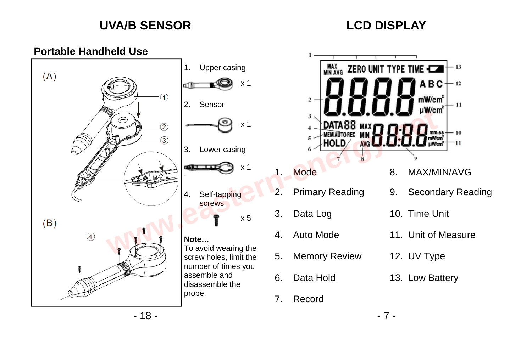## **UVA/B SENSOR**

## **LCD DISPLAY**

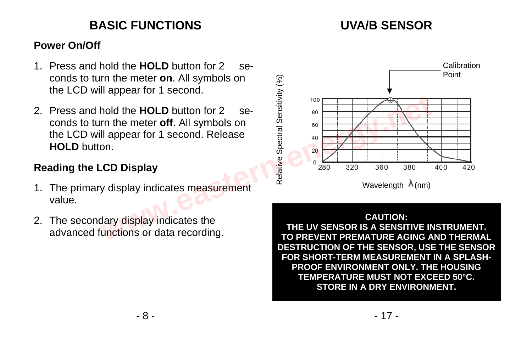## **BASIC FUNCTIONS**

## **UVA/B SENSOR**

#### **Power On/Off**

- 1. Press and hold the **HOLD** button for 2 seconds to turn the meter **on**. All symbols on the LCD will appear for 1 second.
- 2. Press and hold the **HOLD** button for 2 seconds to turn the meter **off**. All symbols on the LCD will appear for 1 second. Release **HOLD** button.

#### **Reading the LCD Display**

- 1. The primary display indicates measurement value.
- 2. The secondary display indicates the advanced functions or data recording.



#### **CAUTION:**

**THE UV SENSOR IS A SENSITIVE INSTRUMENT. TO PREVENT PREMATURE AGING AND THERMAL DESTRUCTION OF THE SENSOR, USE THE SENSOR FOR SHORT-TERM MEASUREMENT IN A SPLASH-PROOF ENVIRONMENT ONLY. THE HOUSING TEMPERATURE MUST NOT EXCEED 50°C. STORE IN A DRY ENVIRONMENT.**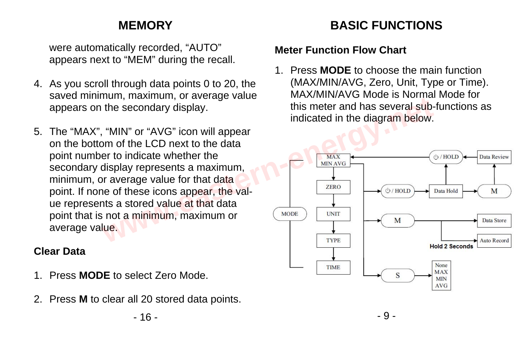## **MEMORY**

 were automatically recorded, "AUTO" appears next to "MEM" during the recall.

- 4. As you scroll through data points 0 to 20, the saved minimum, maximum, or average value appears on the secondary display.
- 5. The "MAX", "MIN" or "AVG" icon will appear on the bottom of the LCD next to the data point number to indicate whether the secondary display represents a maximum, minimum, or average value for that data point. If none of these icons appear, the value represents a stored value at that data point that is not a minimum, maximum or average value.

### **Clear Data**

- 1. Press **MODE** to select Zero Mode.
- 2. Press **M** to clear all 20 stored data points.

### $-16$  -  $-9$  -

# **BASIC FUNCTIONS**

#### **Meter Function Flow Chart**

1. Press **MODE** to choose the main function (MAX/MIN/AVG, Zero, Unit, Type or Time). MAX/MIN/AVG Mode is Normal Mode for this meter and has several sub-functions as indicated in the diagram below.

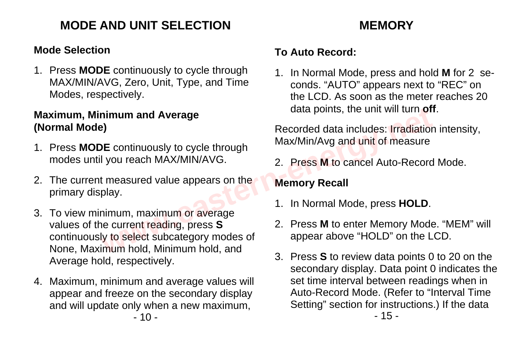## **MODE AND UNIT SELECTION MEMORY**

#### **Mode Selection**

1. Press **MODE** continuously to cycle through MAX/MIN/AVG, Zero, Unit, Type, and Time Modes, respectively.

#### **Maximum, Minimum and Average (Normal Mode)**

- 1. Press **MODE** continuously to cycle through modes until you reach MAX/MIN/AVG.
- 2. The current measured value appears on the primary display.
- 3. To view minimum, maximum or average values of the current reading, press **S** continuously to select subcategory modes of None, Maximum hold, Minimum hold, and Average hold, respectively. **example and Average**<br> **example 2018**<br> **WE continuously to cycle through**<br> **WE continuously to cycle through**<br> **WE continuously to cycle through**<br> **WE continuously to cycle through**<br> **MAX/MIN/AVG.**<br> **2. Press M to cancel A**
- $-10$   $-15$  -4. Maximum, minimum and average values will appear and freeze on the secondary display and will update only when a new maximum,

#### **To Auto Record:**

1. In Normal Mode, press and hold **M** for 2 seconds. "AUTO" appears next to "REC" on the LCD. As soon as the meter reaches 20 data points, the unit will turn **off**.

Recorded data includes: Irradiation intensity, Max/Min/Avg and unit of measure

2. Press **M** to cancel Auto-Record Mode.

#### **Memory Recall**

- 1. In Normal Mode, press **HOLD**.
- 2. Press **M** to enter Memory Mode. "MEM" will appear above "HOLD" on the LCD.
- 3. Press **S** to review data points 0 to 20 on the secondary display. Data point 0 indicates the set time interval between readings when in Auto-Record Mode. (Refer to "Interval Time Setting" section for instructions.) If the data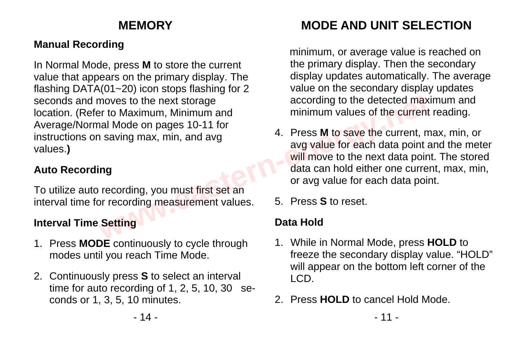## **Manual Recording**

In Normal Mode, press **M** to store the current value that appears on the primary display. The flashing DATA(01~20) icon stops flashing for 2 seconds and moves to the next storage location. (Refer to Maximum, Minimum and Average/Normal Mode on pages 10-11 for instructions on saving max, min, and avg values.**)**

### **Auto Recording**

To utilize auto recording, you must first set an interval time for recording measurement values.

### **Interval Time Setting**

- 1. Press **MODE** continuously to cycle through modes until you reach Time Mode.
- 2. Continuously press **S** to select an interval time for auto recording of 1, 2, 5, 10, 30 seconds or 1, 3, 5, 10 minutes.

# **MEMORY MODE AND UNIT SELECTION**

minimum, or average value is reached on the primary display. Then the secondary display updates automatically. The average value on the secondary display updates according to the detected maximum and minimum values of the current reading.

- 4. Press **M** to save the current, max, min, or avg value for each data point and the meter will move to the next data point. The stored data can hold either one current, max, min, or avg value for each data point. moves to the next storage<br>
according to the detected max<br>
ar to Maximum, Minimum and<br>
al Mode on pages 10-11 for<br>
1 saving max, min, and avg<br>
4. Press **M** to save the current, m<br>
avg value for each data point<br>
img<br>
to save
	- 5. Press **S** to reset.

## **Data Hold**

- 1. While in Normal Mode, press **HOLD** to freeze the secondary display value. "HOLD" will appear on the bottom left corner of the LCD.
- 2. Press **HOLD** to cancel Hold Mode.